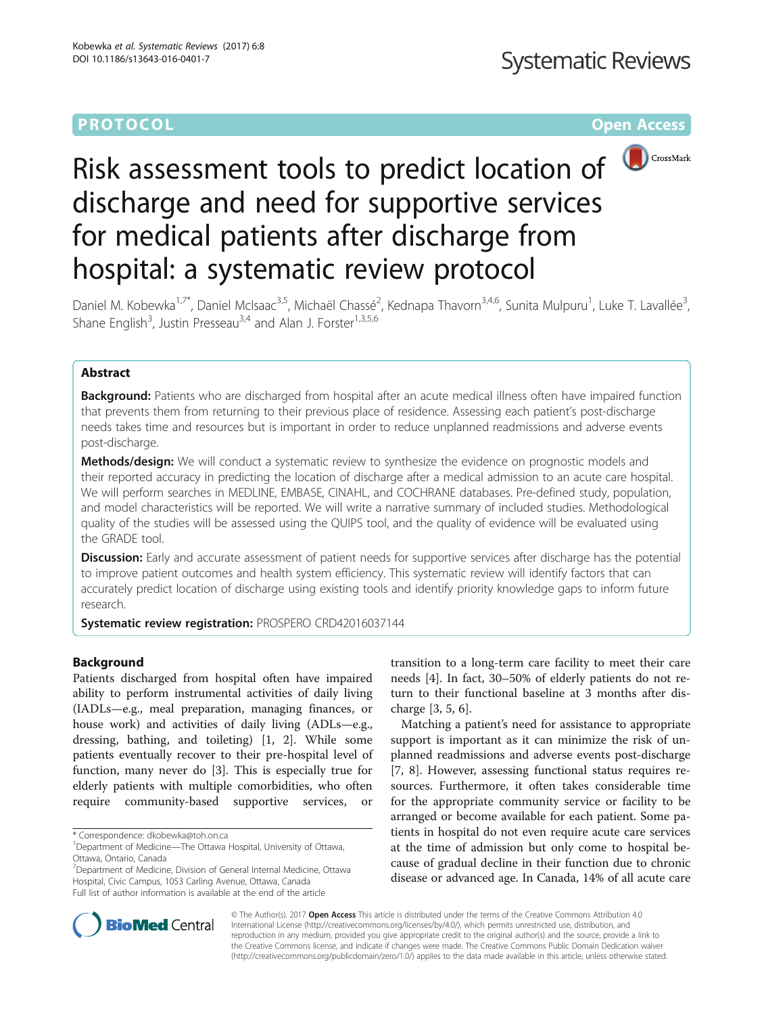### **PROTOCOL CONSUMING THE OPEN ACCESS**



# Risk assessment tools to predict location of discharge and need for supportive services for medical patients after discharge from hospital: a systematic review protocol

Daniel M. Kobewka<sup>1,7\*</sup>, Daniel McIsaac<sup>3,5</sup>, Michaël Chassé<sup>2</sup>, Kednapa Thavorn<sup>3,4,6</sup>, Sunita Mulpuru<sup>1</sup>, Luke T. Lavallée<sup>3</sup> , Shane English<sup>3</sup>, Justin Presseau<sup>3,4</sup> and Alan J. Forster<sup>1,3,5,6</sup>

#### Abstract

**Background:** Patients who are discharged from hospital after an acute medical illness often have impaired function that prevents them from returning to their previous place of residence. Assessing each patient's post-discharge needs takes time and resources but is important in order to reduce unplanned readmissions and adverse events post-discharge.

Methods/design: We will conduct a systematic review to synthesize the evidence on prognostic models and their reported accuracy in predicting the location of discharge after a medical admission to an acute care hospital. We will perform searches in MEDLINE, EMBASE, CINAHL, and COCHRANE databases. Pre-defined study, population, and model characteristics will be reported. We will write a narrative summary of included studies. Methodological quality of the studies will be assessed using the QUIPS tool, and the quality of evidence will be evaluated using the GRADE tool.

Discussion: Early and accurate assessment of patient needs for supportive services after discharge has the potential to improve patient outcomes and health system efficiency. This systematic review will identify factors that can accurately predict location of discharge using existing tools and identify priority knowledge gaps to inform future research.

Systematic review registration: PROSPERO [CRD42016037144](http://www.crd.york.ac.uk/PROSPERO/display_record.asp?ID=CRD42016037144)

#### Background

Patients discharged from hospital often have impaired ability to perform instrumental activities of daily living (IADLs—e.g., meal preparation, managing finances, or house work) and activities of daily living (ADLs—e.g., dressing, bathing, and toileting) [\[1](#page-3-0), [2\]](#page-3-0). While some patients eventually recover to their pre-hospital level of function, many never do [\[3\]](#page-3-0). This is especially true for elderly patients with multiple comorbidities, who often require community-based supportive services, or

<sup>7</sup> Department of Medicine, Division of General Internal Medicine, Ottawa Hospital, Civic Campus, 1053 Carling Avenue, Ottawa, Canada Full list of author information is available at the end of the article

transition to a long-term care facility to meet their care needs [[4\]](#page-3-0). In fact, 30–50% of elderly patients do not return to their functional baseline at 3 months after discharge [[3, 5, 6\]](#page-3-0).

Matching a patient's need for assistance to appropriate support is important as it can minimize the risk of unplanned readmissions and adverse events post-discharge [[7, 8](#page-3-0)]. However, assessing functional status requires resources. Furthermore, it often takes considerable time for the appropriate community service or facility to be arranged or become available for each patient. Some patients in hospital do not even require acute care services at the time of admission but only come to hospital because of gradual decline in their function due to chronic disease or advanced age. In Canada, 14% of all acute care



© The Author(s). 2017 **Open Access** This article is distributed under the terms of the Creative Commons Attribution 4.0 International License [\(http://creativecommons.org/licenses/by/4.0/](http://creativecommons.org/licenses/by/4.0/)), which permits unrestricted use, distribution, and reproduction in any medium, provided you give appropriate credit to the original author(s) and the source, provide a link to the Creative Commons license, and indicate if changes were made. The Creative Commons Public Domain Dedication waiver [\(http://creativecommons.org/publicdomain/zero/1.0/](http://creativecommons.org/publicdomain/zero/1.0/)) applies to the data made available in this article, unless otherwise stated.

<sup>\*</sup> Correspondence: [dkobewka@toh.on.ca](mailto:dkobewka@toh.on.ca) <sup>1</sup>

<sup>&</sup>lt;sup>1</sup>Department of Medicine—The Ottawa Hospital, University of Ottawa, Ottawa, Ontario, Canada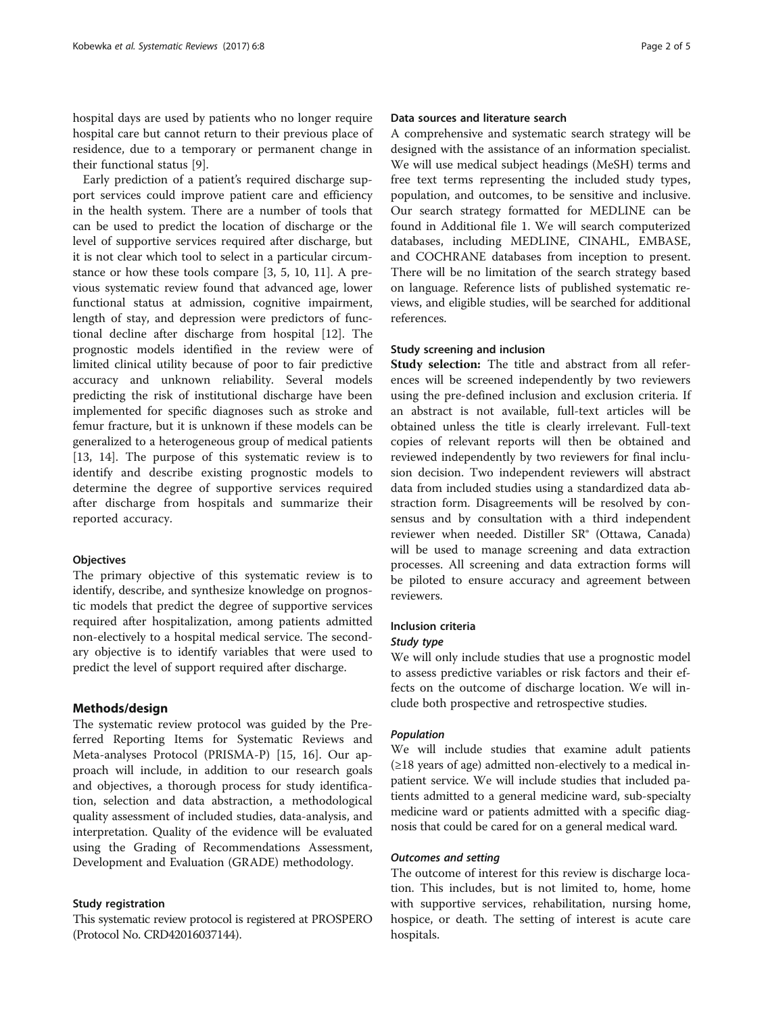hospital days are used by patients who no longer require hospital care but cannot return to their previous place of residence, due to a temporary or permanent change in their functional status [[9\]](#page-3-0).

Early prediction of a patient's required discharge support services could improve patient care and efficiency in the health system. There are a number of tools that can be used to predict the location of discharge or the level of supportive services required after discharge, but it is not clear which tool to select in a particular circumstance or how these tools compare [\[3](#page-3-0), [5, 10](#page-3-0), [11\]](#page-3-0). A previous systematic review found that advanced age, lower functional status at admission, cognitive impairment, length of stay, and depression were predictors of functional decline after discharge from hospital [[12\]](#page-3-0). The prognostic models identified in the review were of limited clinical utility because of poor to fair predictive accuracy and unknown reliability. Several models predicting the risk of institutional discharge have been implemented for specific diagnoses such as stroke and femur fracture, but it is unknown if these models can be generalized to a heterogeneous group of medical patients [[13, 14\]](#page-3-0). The purpose of this systematic review is to identify and describe existing prognostic models to determine the degree of supportive services required after discharge from hospitals and summarize their reported accuracy.

#### **Objectives**

The primary objective of this systematic review is to identify, describe, and synthesize knowledge on prognostic models that predict the degree of supportive services required after hospitalization, among patients admitted non-electively to a hospital medical service. The secondary objective is to identify variables that were used to predict the level of support required after discharge.

#### Methods/design

The systematic review protocol was guided by the Preferred Reporting Items for Systematic Reviews and Meta-analyses Protocol (PRISMA-P) [[15, 16](#page-3-0)]. Our approach will include, in addition to our research goals and objectives, a thorough process for study identification, selection and data abstraction, a methodological quality assessment of included studies, data-analysis, and interpretation. Quality of the evidence will be evaluated using the Grading of Recommendations Assessment, Development and Evaluation (GRADE) methodology.

#### Study registration

This systematic review protocol is registered at PROSPERO (Protocol No. CRD42016037144).

#### Data sources and literature search

A comprehensive and systematic search strategy will be designed with the assistance of an information specialist. We will use medical subject headings (MeSH) terms and free text terms representing the included study types, population, and outcomes, to be sensitive and inclusive. Our search strategy formatted for MEDLINE can be found in Additional file [1](#page-3-0). We will search computerized databases, including MEDLINE, CINAHL, EMBASE, and COCHRANE databases from inception to present. There will be no limitation of the search strategy based on language. Reference lists of published systematic reviews, and eligible studies, will be searched for additional references.

#### Study screening and inclusion

Study selection: The title and abstract from all references will be screened independently by two reviewers using the pre-defined inclusion and exclusion criteria. If an abstract is not available, full-text articles will be obtained unless the title is clearly irrelevant. Full-text copies of relevant reports will then be obtained and reviewed independently by two reviewers for final inclusion decision. Two independent reviewers will abstract data from included studies using a standardized data abstraction form. Disagreements will be resolved by consensus and by consultation with a third independent reviewer when needed. Distiller SR® (Ottawa, Canada) will be used to manage screening and data extraction processes. All screening and data extraction forms will be piloted to ensure accuracy and agreement between reviewers.

#### Inclusion criteria

#### Study type

We will only include studies that use a prognostic model to assess predictive variables or risk factors and their effects on the outcome of discharge location. We will include both prospective and retrospective studies.

#### Population

We will include studies that examine adult patients (≥18 years of age) admitted non-electively to a medical inpatient service. We will include studies that included patients admitted to a general medicine ward, sub-specialty medicine ward or patients admitted with a specific diagnosis that could be cared for on a general medical ward.

#### Outcomes and setting

The outcome of interest for this review is discharge location. This includes, but is not limited to, home, home with supportive services, rehabilitation, nursing home, hospice, or death. The setting of interest is acute care hospitals.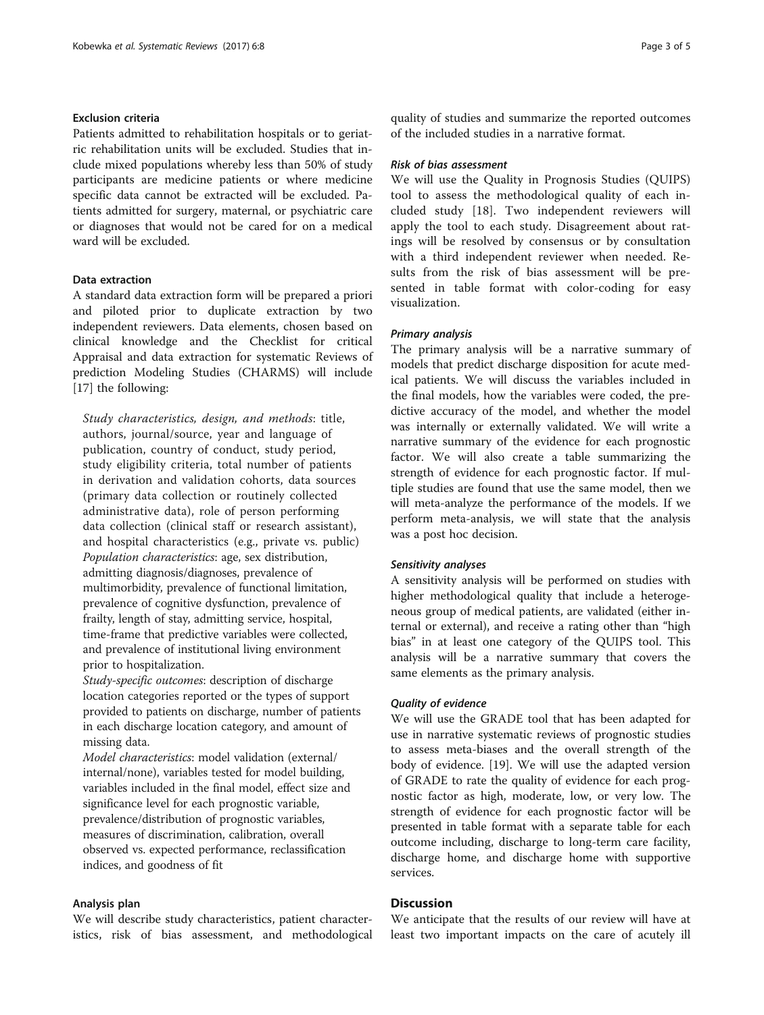#### Exclusion criteria

Patients admitted to rehabilitation hospitals or to geriatric rehabilitation units will be excluded. Studies that include mixed populations whereby less than 50% of study participants are medicine patients or where medicine specific data cannot be extracted will be excluded. Patients admitted for surgery, maternal, or psychiatric care or diagnoses that would not be cared for on a medical ward will be excluded.

#### Data extraction

A standard data extraction form will be prepared a priori and piloted prior to duplicate extraction by two independent reviewers. Data elements, chosen based on clinical knowledge and the Checklist for critical Appraisal and data extraction for systematic Reviews of prediction Modeling Studies (CHARMS) will include [[17\]](#page-3-0) the following:

Study characteristics, design, and methods: title, authors, journal/source, year and language of publication, country of conduct, study period, study eligibility criteria, total number of patients in derivation and validation cohorts, data sources (primary data collection or routinely collected administrative data), role of person performing data collection (clinical staff or research assistant), and hospital characteristics (e.g., private vs. public) Population characteristics: age, sex distribution, admitting diagnosis/diagnoses, prevalence of multimorbidity, prevalence of functional limitation, prevalence of cognitive dysfunction, prevalence of frailty, length of stay, admitting service, hospital, time-frame that predictive variables were collected, and prevalence of institutional living environment prior to hospitalization.

Study-specific outcomes: description of discharge location categories reported or the types of support provided to patients on discharge, number of patients in each discharge location category, and amount of missing data.

Model characteristics: model validation (external/ internal/none), variables tested for model building, variables included in the final model, effect size and significance level for each prognostic variable, prevalence/distribution of prognostic variables, measures of discrimination, calibration, overall observed vs. expected performance, reclassification indices, and goodness of fit

#### Analysis plan

We will describe study characteristics, patient characteristics, risk of bias assessment, and methodological

quality of studies and summarize the reported outcomes of the included studies in a narrative format.

#### Risk of bias assessment

We will use the Quality in Prognosis Studies (QUIPS) tool to assess the methodological quality of each included study [[18](#page-4-0)]. Two independent reviewers will apply the tool to each study. Disagreement about ratings will be resolved by consensus or by consultation with a third independent reviewer when needed. Results from the risk of bias assessment will be presented in table format with color-coding for easy visualization.

#### Primary analysis

The primary analysis will be a narrative summary of models that predict discharge disposition for acute medical patients. We will discuss the variables included in the final models, how the variables were coded, the predictive accuracy of the model, and whether the model was internally or externally validated. We will write a narrative summary of the evidence for each prognostic factor. We will also create a table summarizing the strength of evidence for each prognostic factor. If multiple studies are found that use the same model, then we will meta-analyze the performance of the models. If we perform meta-analysis, we will state that the analysis was a post hoc decision.

#### Sensitivity analyses

A sensitivity analysis will be performed on studies with higher methodological quality that include a heterogeneous group of medical patients, are validated (either internal or external), and receive a rating other than "high bias" in at least one category of the QUIPS tool. This analysis will be a narrative summary that covers the same elements as the primary analysis.

#### Quality of evidence

We will use the GRADE tool that has been adapted for use in narrative systematic reviews of prognostic studies to assess meta-biases and the overall strength of the body of evidence. [\[19](#page-4-0)]. We will use the adapted version of GRADE to rate the quality of evidence for each prognostic factor as high, moderate, low, or very low. The strength of evidence for each prognostic factor will be presented in table format with a separate table for each outcome including, discharge to long-term care facility, discharge home, and discharge home with supportive services.

#### **Discussion**

We anticipate that the results of our review will have at least two important impacts on the care of acutely ill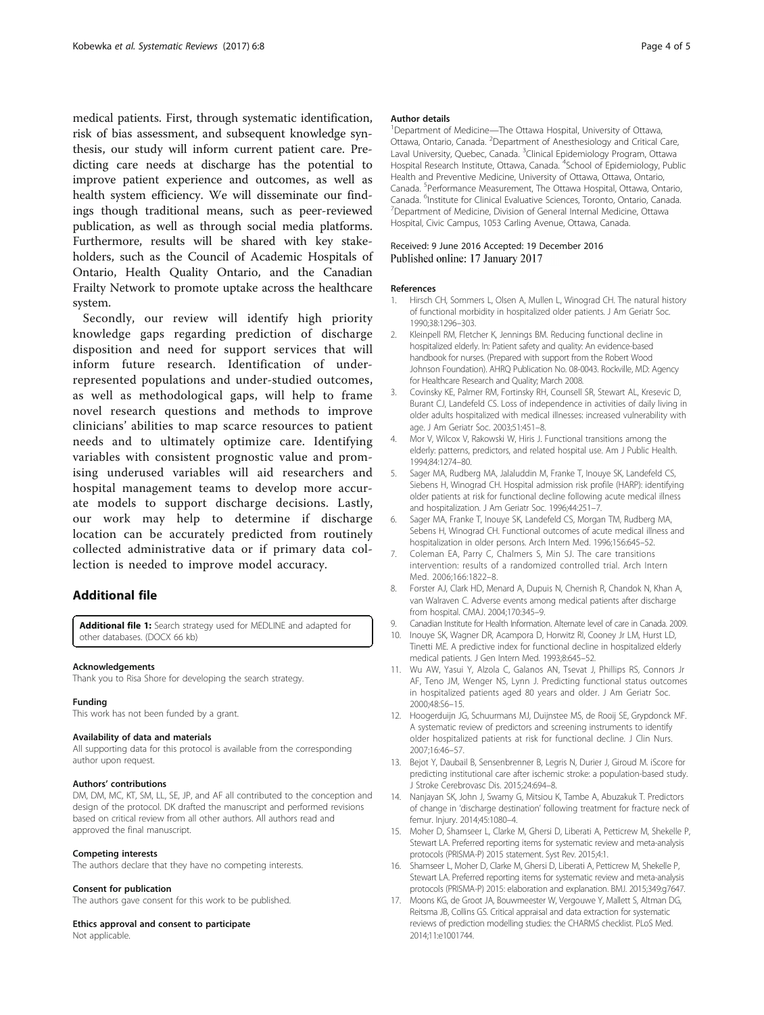<span id="page-3-0"></span>medical patients. First, through systematic identification, risk of bias assessment, and subsequent knowledge synthesis, our study will inform current patient care. Predicting care needs at discharge has the potential to improve patient experience and outcomes, as well as health system efficiency. We will disseminate our findings though traditional means, such as peer-reviewed publication, as well as through social media platforms. Furthermore, results will be shared with key stakeholders, such as the Council of Academic Hospitals of Ontario, Health Quality Ontario, and the Canadian Frailty Network to promote uptake across the healthcare system.

Secondly, our review will identify high priority knowledge gaps regarding prediction of discharge disposition and need for support services that will inform future research. Identification of underrepresented populations and under-studied outcomes, as well as methodological gaps, will help to frame novel research questions and methods to improve clinicians' abilities to map scarce resources to patient needs and to ultimately optimize care. Identifying variables with consistent prognostic value and promising underused variables will aid researchers and hospital management teams to develop more accurate models to support discharge decisions. Lastly, our work may help to determine if discharge location can be accurately predicted from routinely collected administrative data or if primary data collection is needed to improve model accuracy.

#### Additional file

[Additional file 1:](dx.doi.org/10.1186/s13643-016-0401-7) Search strategy used for MEDLINE and adapted for other databases. (DOCX 66 kb)

#### Acknowledgements

Thank you to Risa Shore for developing the search strategy.

#### Funding

This work has not been funded by a grant.

#### Availability of data and materials

All supporting data for this protocol is available from the corresponding author upon request.

#### Authors' contributions

DM, DM, MC, KT, SM, LL, SE, JP, and AF all contributed to the conception and design of the protocol. DK drafted the manuscript and performed revisions based on critical review from all other authors. All authors read and approved the final manuscript.

#### Competing interests

The authors declare that they have no competing interests.

#### Consent for publication

The authors gave consent for this work to be published.

#### Ethics approval and consent to participate

Not applicable.

#### Author details

<sup>1</sup>Department of Medicine—The Ottawa Hospital, University of Ottawa, Ottawa, Ontario, Canada. <sup>2</sup> Department of Anesthesiology and Critical Care Laval University, Quebec, Canada. <sup>3</sup>Clinical Epidemiology Program, Ottawa Hospital Research Institute, Ottawa, Canada. <sup>4</sup>School of Epidemiology, Public Health and Preventive Medicine, University of Ottawa, Ottawa, Ontario, Canada. <sup>5</sup>Performance Measurement, The Ottawa Hospital, Ottawa, Ontario Canada. <sup>6</sup>Institute for Clinical Evaluative Sciences, Toronto, Ontario, Canada.<br><sup>7</sup>Department of Medicine, Division of General Internal Medicine, Ottawa. <sup>7</sup>Department of Medicine, Division of General Internal Medicine, Ottawa Hospital, Civic Campus, 1053 Carling Avenue, Ottawa, Canada.

# Received: 9 June 2016 Accepted: 19 December 2016<br>Published online: 17 January 2017

#### References

- 1. Hirsch CH, Sommers L, Olsen A, Mullen L, Winograd CH. The natural history of functional morbidity in hospitalized older patients. J Am Geriatr Soc. 1990;38:1296–303.
- 2. Kleinpell RM, Fletcher K, Jennings BM. Reducing functional decline in hospitalized elderly. In: Patient safety and quality: An evidence-based handbook for nurses. (Prepared with support from the Robert Wood Johnson Foundation). AHRQ Publication No. 08-0043. Rockville, MD: Agency for Healthcare Research and Quality; March 2008.
- 3. Covinsky KE, Palmer RM, Fortinsky RH, Counsell SR, Stewart AL, Kresevic D, Burant CJ, Landefeld CS. Loss of independence in activities of daily living in older adults hospitalized with medical illnesses: increased vulnerability with age. J Am Geriatr Soc. 2003;51:451–8.
- 4. Mor V, Wilcox V, Rakowski W, Hiris J. Functional transitions among the elderly: patterns, predictors, and related hospital use. Am J Public Health. 1994;84:1274–80.
- 5. Sager MA, Rudberg MA, Jalaluddin M, Franke T, Inouye SK, Landefeld CS, Siebens H, Winograd CH. Hospital admission risk profile (HARP): identifying older patients at risk for functional decline following acute medical illness and hospitalization. J Am Geriatr Soc. 1996;44:251–7.
- 6. Sager MA, Franke T, Inouye SK, Landefeld CS, Morgan TM, Rudberg MA, Sebens H, Winograd CH. Functional outcomes of acute medical illness and hospitalization in older persons. Arch Intern Med. 1996;156:645–52.
- 7. Coleman EA, Parry C, Chalmers S, Min SJ. The care transitions intervention: results of a randomized controlled trial. Arch Intern Med. 2006;166:1822–8.
- Forster AJ, Clark HD, Menard A, Dupuis N, Chernish R, Chandok N, Khan A, van Walraven C. Adverse events among medical patients after discharge from hospital. CMAJ. 2004;170:345–9.
- 9. Canadian Institute for Health Information. Alternate level of care in Canada. 2009.
- 10. Inouye SK, Wagner DR, Acampora D, Horwitz RI, Cooney Jr LM, Hurst LD, Tinetti ME. A predictive index for functional decline in hospitalized elderly medical patients. J Gen Intern Med. 1993;8:645–52.
- 11. Wu AW, Yasui Y, Alzola C, Galanos AN, Tsevat J, Phillips RS, Connors Jr AF, Teno JM, Wenger NS, Lynn J. Predicting functional status outcomes in hospitalized patients aged 80 years and older. J Am Geriatr Soc. 2000;48:S6–15.
- 12. Hoogerduijn JG, Schuurmans MJ, Duijnstee MS, de Rooij SE, Grypdonck MF. A systematic review of predictors and screening instruments to identify older hospitalized patients at risk for functional decline. J Clin Nurs. 2007;16:46–57.
- 13. Bejot Y, Daubail B, Sensenbrenner B, Legris N, Durier J, Giroud M. iScore for predicting institutional care after ischemic stroke: a population-based study. J Stroke Cerebrovasc Dis. 2015;24:694–8.
- 14. Nanjayan SK, John J, Swamy G, Mitsiou K, Tambe A, Abuzakuk T. Predictors of change in 'discharge destination' following treatment for fracture neck of femur. Injury. 2014;45:1080–4.
- 15. Moher D, Shamseer L, Clarke M, Ghersi D, Liberati A, Petticrew M, Shekelle P, Stewart LA. Preferred reporting items for systematic review and meta-analysis protocols (PRISMA-P) 2015 statement. Syst Rev. 2015;4:1.
- 16. Shamseer L, Moher D, Clarke M, Ghersi D, Liberati A, Petticrew M, Shekelle P, Stewart LA. Preferred reporting items for systematic review and meta-analysis protocols (PRISMA-P) 2015: elaboration and explanation. BMJ. 2015;349:g7647.
- 17. Moons KG, de Groot JA, Bouwmeester W, Vergouwe Y, Mallett S, Altman DG, Reitsma JB, Collins GS. Critical appraisal and data extraction for systematic reviews of prediction modelling studies: the CHARMS checklist. PLoS Med. 2014;11:e1001744.